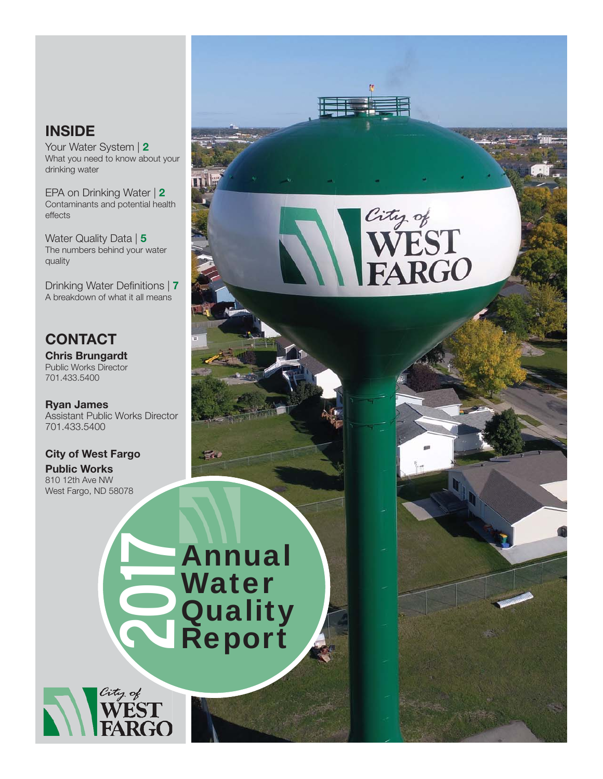### **INSIDE**

Your Water System | 2 What you need to know about your drinking water

EPA on Drinking Water | 2 Contaminants and potential health effects

Water Quality Data | 5 The numbers behind your water quality

Drinking Water Definitions | 7 A breakdown of what it all means

# **CONTACT**

Chris Brungardt Public Works Director 701.433.5400

Ryan James Assistant Public Works Director 701.433.5400

#### City of West Fargo

Public Works 810 12th Ave NW West Fargo, ND 58078

# City of<br>WEST<br>FARGO

Annual **Water Quality Mater<br>
2017 Mater<br>
2018 Report** 

F.

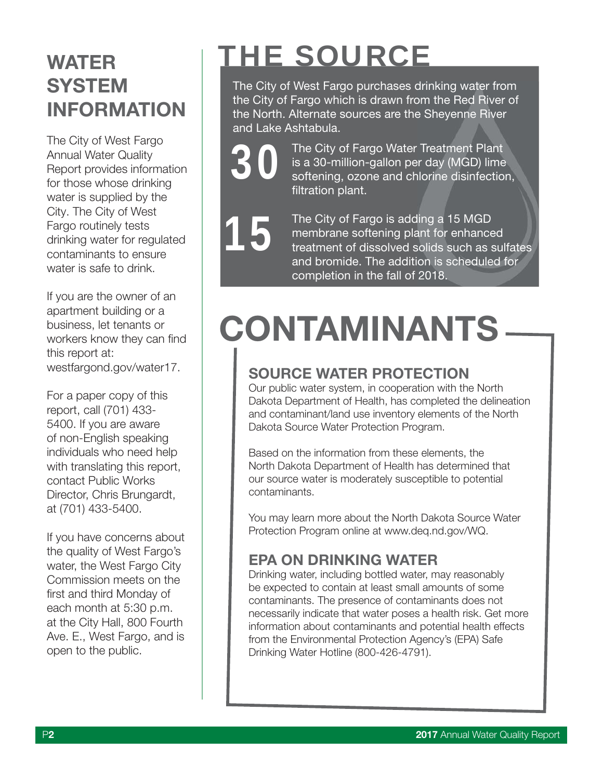# **WATER SYSTEM** INFORMATION

The City of West Fargo Annual Water Quality Report provides information for those whose drinking water is supplied by the City. The City of West Fargo routinely tests drinking water for regulated contaminants to ensure water is safe to drink.

If you are the owner of an apartment building or a business, let tenants or workers know they can find this report at: westfargond.gov/water17.

For a paper copy of this report, call (701) 433- 5400. If you are aware of non-English speaking individuals who need help with translating this report. contact Public Works Director, Chris Brungardt, at (701) 433-5400.

If you have concerns about the quality of West Fargo's water, the West Fargo City Commission meets on the first and third Monday of each month at 5:30 p.m. at the City Hall, 800 Fourth Ave. E., West Fargo, and is open to the public.

# THE SOURCE

The City of West Fargo purchases drinking water from the City of Fargo which is drawn from the Red River of the North. Alternate sources are the Sheyenne River and Lake Ashtabula.

> The City of Fargo Water Treatment Plant is a 30-million-gallon per day (MGD) lime softening, ozone and chlorine disinfection, filtration plant.

The City of Fargo is adding a 15 MGD membrane softening plant for enhanced treatment of dissolved solids such as sulfates and bromide. The addition is scheduled for completion in the fall of 2018. 15

30

# CONTAMINANTS

## SOURCE WATER PROTECTION

Our public water system, in cooperation with the North Dakota Department of Health, has completed the delineation and contaminant/land use inventory elements of the North Dakota Source Water Protection Program.

Based on the information from these elements, the North Dakota Department of Health has determined that our source water is moderately susceptible to potential contaminants.

You may learn more about the North Dakota Source Water Protection Program online at www.deq.nd.gov/WQ.

### EPA ON DRINKING WATER

Drinking water, including bottled water, may reasonably be expected to contain at least small amounts of some contaminants. The presence of contaminants does not necessarily indicate that water poses a health risk. Get more information about contaminants and potential health effects from the Environmental Protection Agency's (EPA) Safe Drinking Water Hotline (800-426-4791).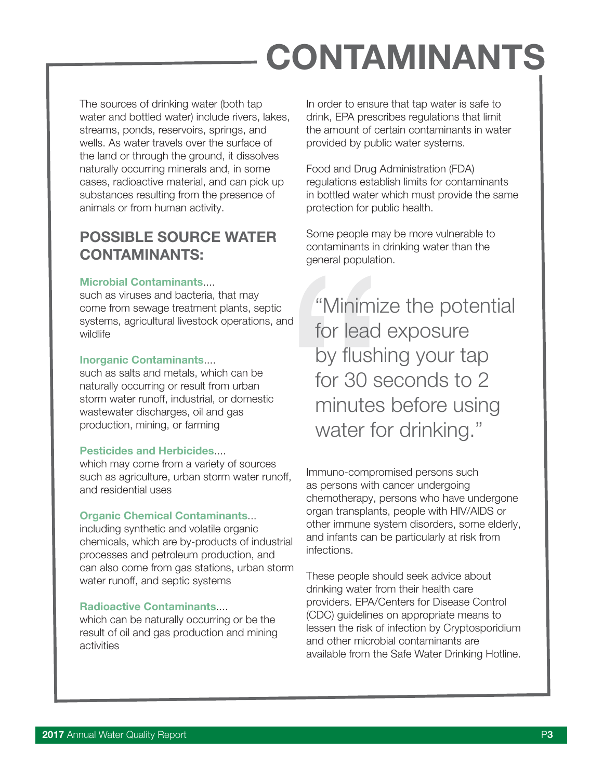# CONTAMINANTS

The sources of drinking water (both tap water and bottled water) include rivers, lakes, streams, ponds, reservoirs, springs, and wells. As water travels over the surface of the land or through the ground, it dissolves naturally occurring minerals and, in some cases, radioactive material, and can pick up substances resulting from the presence of animals or from human activity.

### POSSIBLE SOURCE WATER CONTAMINANTS:

#### Microbial Contaminants....

such as viruses and bacteria, that may come from sewage treatment plants, septic systems, agricultural livestock operations, and wildlife

#### Inorganic Contaminants....

such as salts and metals, which can be naturally occurring or result from urban storm water runoff, industrial, or domestic wastewater discharges, oil and gas production, mining, or farming

#### Pesticides and Herbicides....

which may come from a variety of sources such as agriculture, urban storm water runoff, and residential uses

#### **Organic Chemical Contaminants...**

including synthetic and volatile organic chemicals, which are by-products of industrial processes and petroleum production, and can also come from gas stations, urban storm water runoff, and septic systems

#### Radioactive Contaminants....

which can be naturally occurring or be the result of oil and gas production and mining activities

In order to ensure that tap water is safe to drink, EPA prescribes regulations that limit the amount of certain contaminants in water provided by public water systems.

Food and Drug Administration (FDA) regulations establish limits for contaminants in bottled water which must provide the same protection for public health.

Some people may be more vulnerable to contaminants in drinking water than the general population.

eneral population<br>general population<br>ind<br>for lead<br>by flushil<br>for 30 se<br>minutes<br>water for<br>water for<br>sight, surface of the chemotherapy, pe<br>organ transplants,<br>other immune system<br>of the chemotherapy, pe<br>organ transplants,<br>ot "Minimize the potential for lead exposure by flushing your tap for 30 seconds to 2 minutes before using water for drinking."

Immuno-compromised persons such as persons with cancer undergoing chemotherapy, persons who have undergone organ transplants, people with HIV/AIDS or other immune system disorders, some elderly, and infants can be particularly at risk from infections.

These people should seek advice about drinking water from their health care providers. EPA/Centers for Disease Control (CDC) guidelines on appropriate means to lessen the risk of infection by Cryptosporidium and other microbial contaminants are available from the Safe Water Drinking Hotline.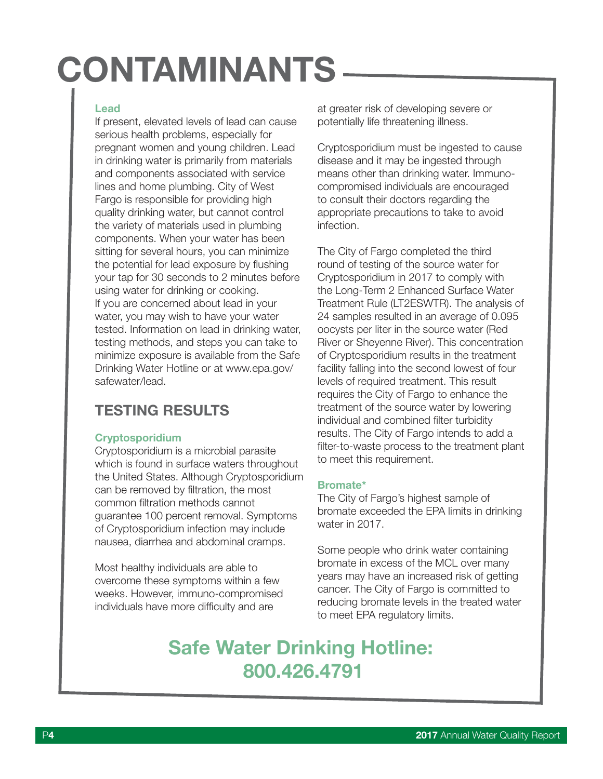# CONTAMINANTS

#### Lead

If present, elevated levels of lead can cause serious health problems, especially for pregnant women and young children. Lead in drinking water is primarily from materials and components associated with service lines and home plumbing. City of West Fargo is responsible for providing high quality drinking water, but cannot control the variety of materials used in plumbing components. When your water has been sitting for several hours, you can minimize the potential for lead exposure by flushing your tap for 30 seconds to 2 minutes before using water for drinking or cooking. If you are concerned about lead in your water, you may wish to have your water tested. Information on lead in drinking water, testing methods, and steps you can take to minimize exposure is available from the Safe Drinking Water Hotline or at www.epa.gov/ safewater/lead.

### TESTING RESULTS

#### **Cryptosporidium**

Cryptosporidium is a microbial parasite which is found in surface waters throughout the United States. Although Cryptosporidium can be removed by filtration, the most common filtration methods cannot guarantee 100 percent removal. Symptoms of Cryptosporidium infection may include nausea, diarrhea and abdominal cramps.

Most healthy individuals are able to overcome these symptoms within a few weeks. However, immuno-compromised individuals have more difficulty and are

at greater risk of developing severe or potentially life threatening illness.

Cryptosporidium must be ingested to cause disease and it may be ingested through means other than drinking water. Immunocompromised individuals are encouraged to consult their doctors regarding the appropriate precautions to take to avoid infection.

The City of Fargo completed the third round of testing of the source water for Cryptosporidium in 2017 to comply with the Long-Term 2 Enhanced Surface Water Treatment Rule (LT2ESWTR). The analysis of 24 samples resulted in an average of 0.095 oocysts per liter in the source water (Red River or Sheyenne River). This concentration of Cryptosporidium results in the treatment facility falling into the second lowest of four levels of required treatment. This result requires the City of Fargo to enhance the treatment of the source water by lowering individual and combined filter turbidity results. The City of Fargo intends to add a filter-to-waste process to the treatment plant to meet this requirement.

#### Bromate\*

The City of Fargo's highest sample of bromate exceeded the EPA limits in drinking water in 2017.

Some people who drink water containing bromate in excess of the MCL over many years may have an increased risk of getting cancer. The City of Fargo is committed to reducing bromate levels in the treated water to meet EPA regulatory limits.

# Safe Water Drinking Hotline: 800.426.4791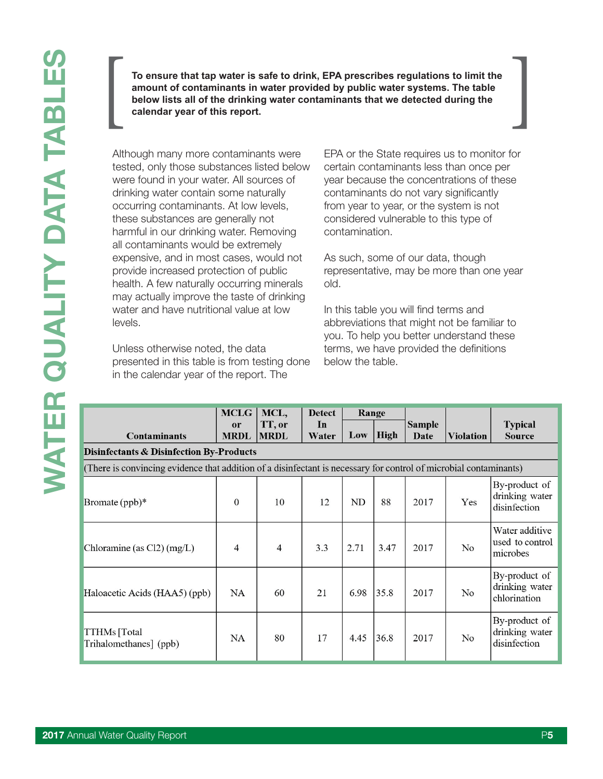**To ensure that tap water is safe to drink, EPA prescribes regulations to limit the amount of contaminants in water provided by public water systems. The table**  To ensure that tap water is safe to drink, EPA prescribes regulations to limit the amount of contaminants in water provided by public water systems. The table below lists all of the drinking water contaminants that we dete

Although many more contaminants were tested, only those substances listed below were found in your water. All sources of drinking water contain some naturally occurring contaminants. At low levels, these substances are generally not harmful in our drinking water. Removing all contaminants would be extremely expensive, and in most cases, would not provide increased protection of public health. A few naturally occurring minerals may actually improve the taste of drinking water and have nutritional value at low levels.

Unless otherwise noted, the data presented in this table is from testing done in the calendar year of the report. The

EPA or the State requires us to monitor for certain contaminants less than once per year because the concentrations of these contaminants do not vary significantly from year to year, or the system is not considered vulnerable to this type of contamination.

As such, some of our data, though representative, may be more than one year old.

In this table you will find terms and abbreviations that might not be familiar to you. To help you better understand these terms, we have provided the definitions below the table.

|                                                                                                                   | <b>MCLG</b>       | MCL,                  | <b>Detect</b> | Range |      |                       |                  |                                                 |  |
|-------------------------------------------------------------------------------------------------------------------|-------------------|-----------------------|---------------|-------|------|-----------------------|------------------|-------------------------------------------------|--|
| <b>Contaminants</b>                                                                                               | or<br><b>MRDL</b> | TT, or<br><b>MRDL</b> | In<br>Water   | Low   | High | <b>Sample</b><br>Date | <b>Violation</b> | <b>Typical</b><br><b>Source</b>                 |  |
| <b>Disinfectants &amp; Disinfection By-Products</b>                                                               |                   |                       |               |       |      |                       |                  |                                                 |  |
| (There is convincing evidence that addition of a disinfectant is necessary for control of microbial contaminants) |                   |                       |               |       |      |                       |                  |                                                 |  |
| Bromate $(ppb)*$                                                                                                  | $\mathbf{0}$      | 10                    | 12            | ND    | 88   | 2017                  | Yes              | By-product of<br>drinking water<br>disinfection |  |
| Chloramine (as $Cl2$ ) (mg/L)                                                                                     | 4                 | $\overline{4}$        | 3.3           | 2.71  | 3.47 | 2017                  | No               | Water additive<br>used to control<br>microbes   |  |
| Haloacetic Acids (HAA5) (ppb)                                                                                     | NA                | 60                    | 21            | 6.98  | 35.8 | 2017                  | No               | By-product of<br>drinking water<br>chlorination |  |
| <b>TTHMs</b> [Total<br>Trihalomethanes] (ppb)                                                                     | NA                | 80                    | 17            | 4.45  | 36.8 | 2017                  | No               | By-product of<br>drinking water<br>disinfection |  |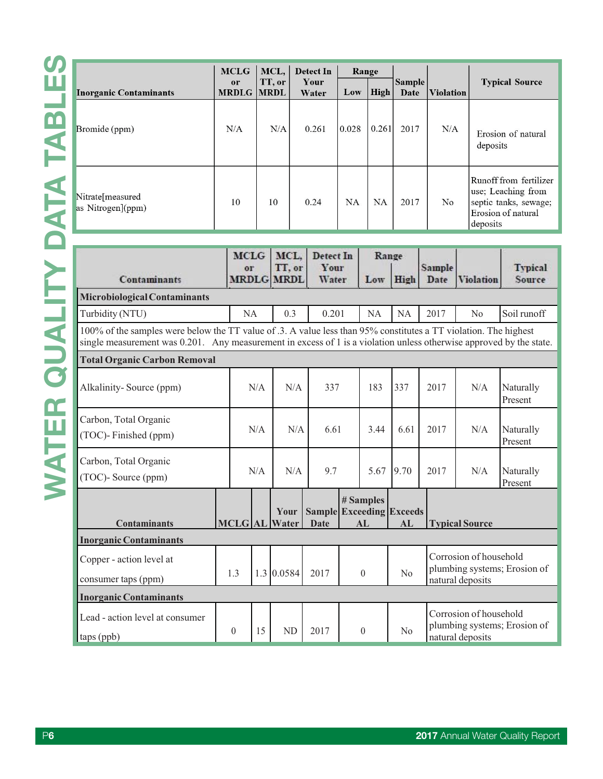|                                         | <b>MCLG</b>             | MCL,   | Detect In     | Range     |             |                       |                  |                                                                                                         |
|-----------------------------------------|-------------------------|--------|---------------|-----------|-------------|-----------------------|------------------|---------------------------------------------------------------------------------------------------------|
| <b>Inorganic Contaminants</b>           | or<br><b>MRDLG MRDL</b> | TT, or | Your<br>Water | Low       | <b>High</b> | <b>Sample</b><br>Date | <b>Violation</b> | <b>Typical Source</b>                                                                                   |
| Bromide (ppm)                           | N/A                     | N/A    | 0.261         | 0.028     | 0.261       | 2017                  | N/A              | Erosion of natural<br>deposits                                                                          |
| Nitrate [measured]<br>as Nitrogen](ppm) | 10                      | 10     | 0.24          | <b>NA</b> | <b>NA</b>   | 2017                  | No               | Runoff from fertilizer<br>use; Leaching from<br>septic tanks, sewage;<br>Erosion of natural<br>deposits |

| <b>Contaminants</b>                                                                                                                                                                                                                     | <b>MCLG</b><br>or<br><b>MRDLG</b> |     | MCL.<br>TT, or<br><b>MRDL</b> | Detect In<br>Your<br>Water                     |  | Range<br>Low    | High           | Sample<br>Date        | <b>Violation</b>                                                           | <b>Typical</b><br>Source |  |
|-----------------------------------------------------------------------------------------------------------------------------------------------------------------------------------------------------------------------------------------|-----------------------------------|-----|-------------------------------|------------------------------------------------|--|-----------------|----------------|-----------------------|----------------------------------------------------------------------------|--------------------------|--|
| Microbiological Contaminants                                                                                                                                                                                                            |                                   |     |                               |                                                |  |                 |                |                       |                                                                            |                          |  |
| Turbidity (NTU)                                                                                                                                                                                                                         | NA                                |     | 0.3                           | 0.201                                          |  | NA              | <b>NA</b>      | 2017                  | No                                                                         | Soil runoff              |  |
| 100% of the samples were below the TT value of .3. A value less than 95% constitutes a TT violation. The highest<br>single measurement was 0.201. Any measurement in excess of 1 is a violation unless otherwise approved by the state. |                                   |     |                               |                                                |  |                 |                |                       |                                                                            |                          |  |
| <b>Total Organic Carbon Removal</b>                                                                                                                                                                                                     |                                   |     |                               |                                                |  |                 |                |                       |                                                                            |                          |  |
| Alkalinity-Source (ppm)                                                                                                                                                                                                                 |                                   | N/A | N/A                           | 337                                            |  | 183             | 337            | 2017                  | N/A                                                                        | Naturally<br>Present     |  |
| Carbon, Total Organic<br>(TOC)-Finished (ppm)                                                                                                                                                                                           |                                   | N/A | N/A                           | 6.61                                           |  | 3.44            | 6.61           | 2017                  | N/A                                                                        | Naturally<br>Present     |  |
| Carbon, Total Organic<br>(TOC)- Source (ppm)                                                                                                                                                                                            |                                   | N/A | N/A                           | 9.7                                            |  | 5.67            | 9.70           | 2017                  | N/A                                                                        | Naturally<br>Present     |  |
| <b>Contaminants</b>                                                                                                                                                                                                                     | <b>MCLG AL</b>                    |     | Your<br>Water                 | <b>Sample Exceeding Exceeds</b><br><b>Date</b> |  | # Samples<br>AL | AL             | <b>Typical Source</b> |                                                                            |                          |  |
| <b>Inorganic Contaminants</b><br>Copper - action level at<br>consumer taps (ppm)                                                                                                                                                        | 1.3                               |     | 1.3   0.0584                  | 2017                                           |  |                 | $\theta$<br>No |                       | Corrosion of household<br>plumbing systems; Erosion of<br>natural deposits |                          |  |
| <b>Inorganic Contaminants</b>                                                                                                                                                                                                           |                                   |     |                               |                                                |  |                 |                |                       |                                                                            |                          |  |
| Lead - action level at consumer<br>$\vert$ taps (ppb)                                                                                                                                                                                   | $\theta$                          | 15  | <b>ND</b>                     | 2017                                           |  | $\theta$        | No             |                       | Corrosion of household<br>plumbing systems; Erosion of<br>natural deposits |                          |  |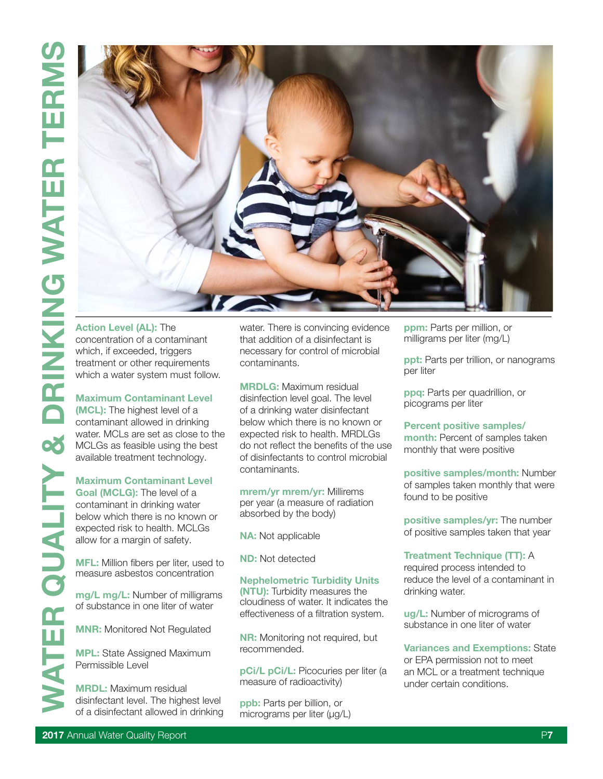

Action Level (AL): The concentration of a contaminant which, if exceeded, triggers treatment or other requirements which a water system must follow.

Maximum Contaminant Level (MCL): The highest level of a contaminant allowed in drinking water. MCLs are set as close to the MCLGs as feasible using the best available treatment technology.

Maximum Contaminant Level Goal (MCLG): The level of a contaminant in drinking water below which there is no known or expected risk to health. MCLGs allow for a margin of safety.

MFL: Million fibers per liter, used to measure asbestos concentration

mg/L mg/L: Number of milligrams of substance in one liter of water

MNR: Monitored Not Regulated

MPL: State Assigned Maximum Permissible Level

MRDL: Maximum residual disinfectant level. The highest level of a disinfectant allowed in drinking water. There is convincing evidence that addition of a disinfectant is necessary for control of microbial contaminants.

MRDLG: Maximum residual disinfection level goal. The level of a drinking water disinfectant below which there is no known or expected risk to health. MRDLGs do not reflect the benefits of the use of disinfectants to control microbial contaminants.

mrem/yr mrem/yr: Millirems per year (a measure of radiation absorbed by the body)

NA: Not applicable

ND: Not detected

#### Nephelometric Turbidity Units

(NTU): Turbidity measures the cloudiness of water. It indicates the effectiveness of a filtration system.

NR: Monitoring not required, but recommended.

pCi/L pCi/L: Picocuries per liter (a measure of radioactivity)

ppb: Parts per billion, or micrograms per liter (μg/L) ppm: Parts per million, or milligrams per liter (mg/L)

ppt: Parts per trillion, or nanograms per liter

ppq: Parts per quadrillion, or picograms per liter

#### Percent positive samples/

month: Percent of samples taken monthly that were positive

positive samples/month: Number of samples taken monthly that were found to be positive

positive samples/yr: The number of positive samples taken that year

#### Treatment Technique (TT): A

required process intended to reduce the level of a contaminant in drinking water.

ug/L: Number of micrograms of substance in one liter of water

Variances and Exemptions: State or EPA permission not to meet an MCL or a treatment technique under certain conditions.